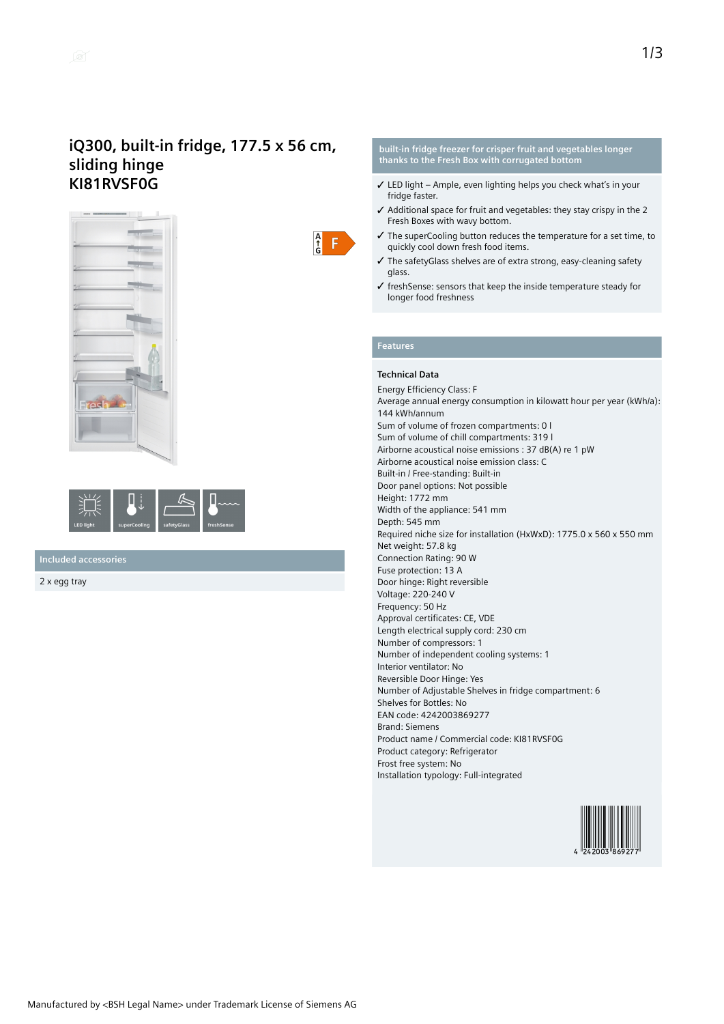# **iQ300, built-in fridge, 177.5 x 56 cm, sliding hinge KI81RVSF0G**



| <b>LED light</b> | superCooling | safetyGlass | freshSense |
|------------------|--------------|-------------|------------|

**Included accessories**

2 x egg tray

## **built-in fridge freezer for crisper fruit and vegetables longer thanks to the Fresh Box with corrugated bottom**

- $\checkmark$  LED light Ample, even lighting helps you check what's in your fridge faster.
- ✓ Additional space for fruit and vegetables: they stay crispy in the 2 Fresh Boxes with wavy bottom.
- ✓ The superCooling button reduces the temperature for a set time, to quickly cool down fresh food items.
- ✓ The safetyGlass shelves are of extra strong, easy-cleaning safety glass.
- ✓ freshSense: sensors that keep the inside temperature steady for longer food freshness

## **Features**

 $\frac{A}{G}$  $\mathsf F$ 

#### **Technical Data**

Energy Efficiency Class: F Average annual energy consumption in kilowatt hour per year (kWh/a): 144 kWh/annum Sum of volume of frozen compartments: 0 l Sum of volume of chill compartments: 319 l Airborne acoustical noise emissions : 37 dB(A) re 1 pW Airborne acoustical noise emission class: C Built-in / Free-standing: Built-in Door panel options: Not possible Height: 1772 mm Width of the appliance: 541 mm Depth: 545 mm Required niche size for installation (HxWxD): 1775.0 x 560 x 550 mm Net weight: 57.8 kg Connection Rating: 90 W Fuse protection: 13 A Door hinge: Right reversible Voltage: 220-240 V Frequency: 50 Hz Approval certificates: CE, VDE Length electrical supply cord: 230 cm Number of compressors: 1 Number of independent cooling systems: 1 Interior ventilator: No Reversible Door Hinge: Yes Number of Adjustable Shelves in fridge compartment: 6 Shelves for Bottles: No EAN code: 4242003869277 Brand: Siemens Product name / Commercial code: KI81RVSF0G Product category: Refrigerator Frost free system: No Installation typology: Full-integrated

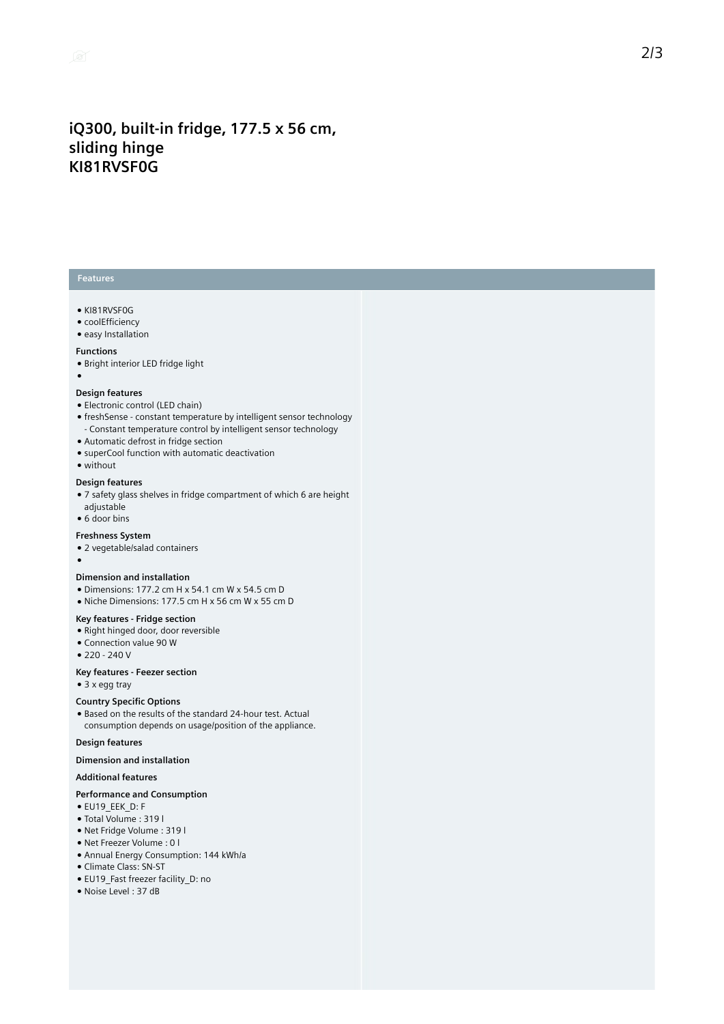# **iQ300, built-in fridge, 177.5 x 56 cm, sliding hinge KI81RVSF0G**

## **Features**

- KI81RVSF0G
- coolEfficiency
- easy Installation

### **Functions**

- Bright interior LED fridge light
- ●

## **Design features**

- Electronic control (LED chain)
- freshSense constant temperature by intelligent sensor technology
- Constant temperature control by intelligent sensor technology
- Automatic defrost in fridge section
- superCool function with automatic deactivation
- without

### **Design features**

- 7 safety glass shelves in fridge compartment of which 6 are height adjustable
- 6 door bins

#### **Freshness System**

- 2 vegetable/salad containers
- ●

#### **Dimension and installation**

- Dimensions: 177.2 cm H x 54.1 cm W x 54.5 cm D
- Niche Dimensions: 177.5 cm H x 56 cm W x 55 cm D

## **Key features - Fridge section**

- Right hinged door, door reversible
- Connection value 90 W
- 220 240 V

## **Key features - Feezer section**

● 3 x egg tray

### **Country Specific Options**

● Based on the results of the standard 24-hour test. Actual consumption depends on usage/position of the appliance.

## **Design features**

## **Dimension and installation**

## **Additional features**

## **Performance and Consumption**

- EU19\_EEK\_D: F
- Total Volume : 319 l
- Net Fridge Volume : 319 l
- Net Freezer Volume : 0 l
- Annual Energy Consumption: 144 kWh/a ● Climate Class: SN-ST
- 
- EU19\_Fast freezer facility\_D: no ● Noise Level : 37 dB